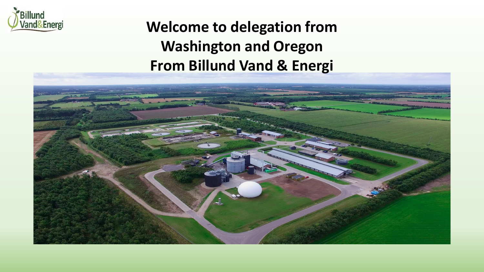

## **Welcome to delegation from Washington and Oregon From Billund Vand & Energi**

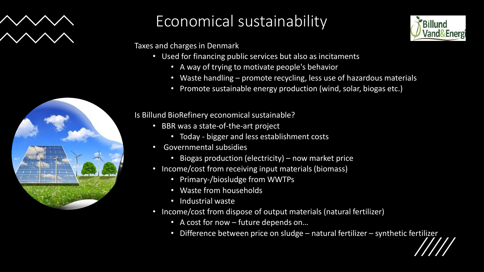



## Economical sustainability

Taxes and charges in Denmark

- Used for financing public services but also as incitaments
	- A way of trying to motivate people's behavior
	- Waste handling promote recycling, less use of hazardous materials
	- Promote sustainable energy production (wind, solar, biogas etc.)

#### Is Billund BioRefinery economical sustainable?

- BBR was a state-of-the-art project
	- Today bigger and less establishment costs
- Governmental subsidies
	- Biogas production (electricity) now market price
- Income/cost from receiving input materials (biomass)
	- Primary-/biosludge from WWTPs
	- Waste from households
	- Industrial waste
- Income/cost from dispose of output materials (natural fertilizer)
	- A cost for now future depends on…
	- Difference between price on sludge natural fertilizer synthetic fertilizer

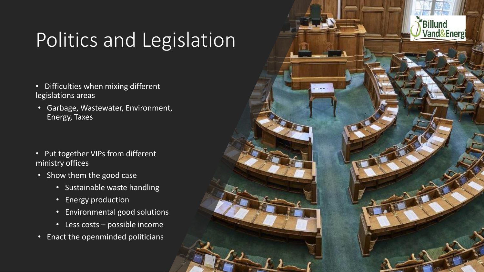# Politics and Legislation

- Difficulties when mixing different legislations areas
- Garbage, Wastewater, Environment, Energy, Taxes
- Put together VIPs from different ministry offices
- Show them the good case
	- Sustainable waste handling
	- Energy production
	- Environmental good solutions
	- Less costs possible income
- Enact the openminded politicians